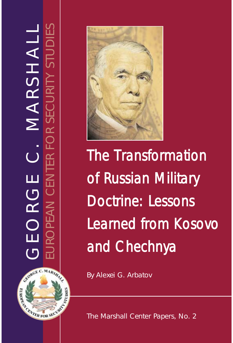# GEORGE C. MARSHALL EUROPEAN CENTER FOR SECURITY STUDIESGEORGE C. MARSHALL





The Transformatio<br>of Russian Military<br>Doctrine: Lessons<br>Learned from Kosa<br>and Chechnya<br>By Alexei G. Arbatov<br>The Marshall Center Papers, No. 2 **The Transformation** of Russian Military Doctrine: Lessons Learned from Kosovo a n d C h ech nya

By Alexei G. Arbatov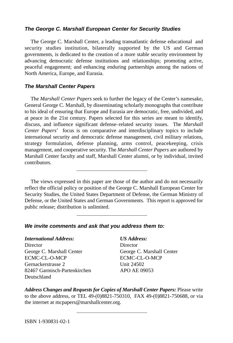#### *The George C. Marshall European Center for Security Studies*

The George C. Marshall Center, a leading transatlantic defense educational and security studies institution, bilaterally supported by the US and German governments, is dedicated to the creation of a more stable security environment by advancing democratic defense institutions and relationships; promoting active, peaceful engagement; and enhancing enduring partnerships among the nations of North America, Europe, and Eurasia.

#### *The Marshall Center Papers*

The *Marshall Center Papers* seek to further the legacy of the Center's namesake, General George C. Marshall, by disseminating scholarly monographs that contribute to his ideal of ensuring that Europe and Eurasia are democratic, free, undivided, and at peace in the 21st century. Papers selected for this series are meant to identify, discuss, and influence significant defense–related security issues. The *Marshall Center Papers*' focus is on comparative and interdisciplinary topics to include international security and democratic defense management, civil military relations, strategy formulation, defense planning, arms control, peacekeeping, crisis management, and cooperative security. The *Marshall Center Papers* are authored by Marshall Center faculty and staff, Marshall Center alumni, or by individual, invited contributors.

The views expressed in this paper are those of the author and do not necessarily reflect the official policy or position of the George C. Marshall European Center for Security Studies, the United States Department of Defense, the German Ministry of Defense, or the United States and German Governments. This report is approved for public release; distribution is unlimited.

#### *We invite comments and ask that you address them to:*

*International Address: US Address:*

Director Director George C. Marshall Center George C. Marshall Center ECMC-CL-O-MCP ECMC-CL-O-MCP Gernackerstrasse 2 Unit 24502 82467 Garmisch-Partenkirchen APO AE 09053 Deutschland

*Address Changes and Requests for Copies of Marshall Center Papers:* Please write to the above address, or TEL 49-(0)8821-750310, FAX 49-(0)8821-750688, or via the internet at mcpapers@marshallcenter.org.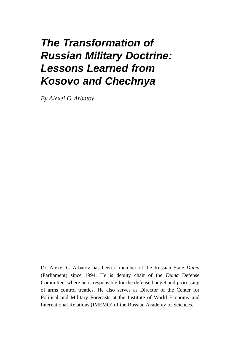# *The Transformation of Russian Military Doctrine: Lessons Learned from Kosovo and Chechnya*

*By Alexei G. Arbatov*

Dr. Alexei G. Arbatov has been a member of the Russian State *Duma* (Parliament) since 1994. He is deputy chair of the *Duma* Defense Committee, where he is responsible for the defense budget and processing of arms control treaties. He also serves as Director of the Center for Political and Military Forecasts at the Institute of World Economy and International Relations (IMEMO) of the Russian Academy of Sciences.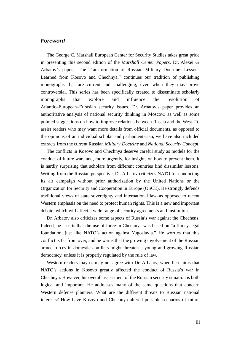#### *Foreword*

The George C. Marshall European Center for Security Studies takes great pride in presenting this second edition of the *Marshall Center Papers*. Dr. Alexei G. Arbatov's paper, "The Transformation of Russian Military Doctrine: Lessons Learned from Kosovo and Chechnya," continues our tradition of publishing monographs that are current and challenging, even when they may prove controversial. This series has been specifically created to disseminate scholarly monographs that explore and influence the resolution of Atlantic–European–Eurasian security issues. Dr. Arbatov's paper provides an authoritative analysis of national security thinking in Moscow, as well as some pointed suggestions on how to improve relations between Russia and the West. To assist readers who may want more details from official documents, as opposed to the opinions of an individual scholar and parliamentarian, we have also included extracts from the current Russian *Military Doctrine* and *National Security Concept*.

The conflicts in Kosovo and Chechnya deserve careful study as models for the conduct of future wars and, more urgently, for insights on how to prevent them. It is hardly surprising that scholars from different countries find dissimilar lessons. Writing from the Russian perspective, Dr. Arbatov criticizes NATO for conducting its air campaign without prior authorization by the United Nations or the Organization for Security and Cooperation in Europe (OSCE). He strongly defends traditional views of state sovereignty and international law–as opposed to recent Western emphasis on the need to protect human rights. This is a new and important debate, which will affect a wide range of security agreements and institutions.

Dr. Arbatov also criticizes some aspects of Russia's war against the Chechens. Indeed, he asserts that the use of force in Chechnya was based on "a flimsy legal foundation, just like NATO's action against Yugoslavia." He worries that this conflict is far from over, and he warns that the growing involvement of the Russian armed forces in domestic conflicts might threaten a young and growing Russian democracy, unless it is properly regulated by the rule of law.

Western readers may or may not agree with Dr. Arbatov, when he claims that NATO's actions in Kosovo greatly affected the conduct of Russia's war in Chechnya. However, his overall assessment of the Russian security situation is both logical and important. He addresses many of the same questions that concern Western defense planners. What are the different threats to Russian national interests? How have Kosovo and Chechnya altered possible scenarios of future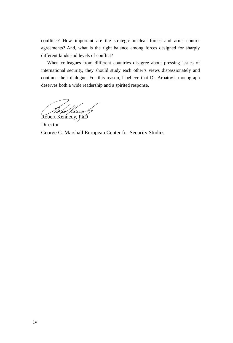conflicts? How important are the strategic nuclear forces and arms control agreements? And, what is the right balance among forces designed for sharply different kinds and levels of conflict?

When colleagues from different countries disagree about pressing issues of international security, they should study each other's views dispassionately and continue their dialogue. For this reason, I believe that Dr. Arbatov's monograph deserves both a wide readership and a spirited response.

Robert Kennedy, PhD

**Director** George C. Marshall European Center for Security Studies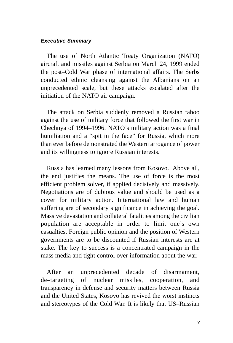#### *Executive Summary*

The use of North Atlantic Treaty Organization (NATO) aircraft and missiles against Serbia on March 24, 1999 ended the post–Cold War phase of international affairs. The Serbs conducted ethnic cleansing against the Albanians on an unprecedented scale, but these attacks escalated after the initiation of the NATO air campaign.

The attack on Serbia suddenly removed a Russian taboo against the use of military force that followed the first war in Chechnya of 1994–1996. NATO's military action was a final humiliation and a "spit in the face" for Russia, which more than ever before demonstrated the Western arrogance of power and its willingness to ignore Russian interests.

Russia has learned many lessons from Kosovo. Above all, the end justifies the means. The use of force is the most efficient problem solver, if applied decisively and massively. Negotiations are of dubious value and should be used as a cover for military action. International law and human suffering are of secondary significance in achieving the goal. Massive devastation and collateral fatalities among the civilian population are acceptable in order to limit one's own casualties. Foreign public opinion and the position of Western governments are to be discounted if Russian interests are at stake. The key to success is a concentrated campaign in the mass media and tight control over information about the war.

After an unprecedented decade of disarmament, de–targeting of nuclear missiles, cooperation, and transparency in defense and security matters between Russia and the United States, Kosovo has revived the worst instincts and stereotypes of the Cold War. It is likely that US–Russian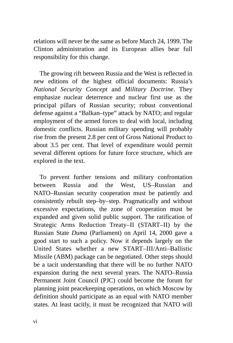relations will never be the same as before March 24, 1999. The Clinton administration and its European allies bear full responsibility for this change.

The growing rift between Russia and the West is reflected in new editions of the highest official documents: Russia's *National Security Concept* and *Military Doctrine*. They emphasize nuclear deterrence and nuclear first use as the principal pillars of Russian security; robust conventional defense against a "Balkan–type" attack by NATO; and regular employment of the armed forces to deal with local, including domestic conflicts. Russian military spending will probably rise from the present 2.8 per cent of Gross National Product to about 3.5 per cent. That level of expenditure would permit several different options for future force structure, which are explored in the text.

To prevent further tensions and military confrontation between Russia and the West, US–Russian and NATO–Russian security cooperation must be patiently and consistently rebuilt step–by–step. Pragmatically and without excessive expectations, the zone of cooperation must be expanded and given solid public support. The ratification of Strategic Arms Reduction Treaty–II (START–II) by the Russian State *Duma* (Parliament) on April 14, 2000 gave a good start to such a policy. Now it depends largely on the United States whether a new START–III/Anti–Ballistic Missile (ABM) package can be negotiated. Other steps should be a tacit understanding that there will be no further NATO expansion during the next several years. The NATO–Russia Permanent Joint Council (PJC) could become the forum for planning joint peacekeeping operations, on which Moscow by definition should participate as an equal with NATO member states. At least tacitly, it must be recognized that NATO will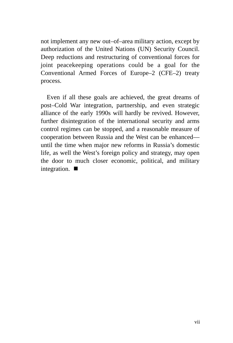not implement any new out–of–area military action, except by authorization of the United Nations (UN) Security Council. Deep reductions and restructuring of conventional forces for joint peacekeeping operations could be a goal for the Conventional Armed Forces of Europe–2 (CFE–2) treaty process.

Even if all these goals are achieved, the great dreams of post–Cold War integration, partnership, and even strategic alliance of the early 1990s will hardly be revived. However, further disintegration of the international security and arms control regimes can be stopped, and a reasonable measure of cooperation between Russia and the West can be enhanced until the time when major new reforms in Russia's domestic life, as well the West's foreign policy and strategy, may open the door to much closer economic, political, and military integration.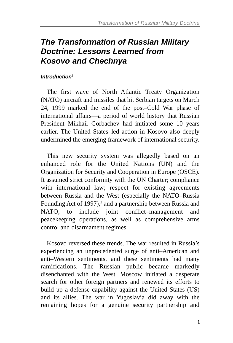# *The Transformation of Russian Military Doctrine: Lessons Learned from Kosovo and Chechnya*

#### *Introduction*<sup>1</sup>

The first wave of North Atlantic Treaty Organization (NATO) aircraft and missiles that hit Serbian targets on March 24, 1999 marked the end of the post–Cold War phase of international affairs—a period of world history that Russian President Mikhail Gorbachev had initiated some 10 years earlier. The United States–led action in Kosovo also deeply undermined the emerging framework of international security.

This new security system was allegedly based on an enhanced role for the United Nations (UN) and the Organization for Security and Cooperation in Europe (OSCE). It assumed strict conformity with the UN Charter; compliance with international law; respect for existing agreements between Russia and the West (especially the NATO–Russia Founding Act of 1997),<sup>2</sup> and a partnership between Russia and NATO, to include joint conflict–management and peacekeeping operations, as well as comprehensive arms control and disarmament regimes.

Kosovo reversed these trends. The war resulted in Russia's experiencing an unprecedented surge of anti–American and anti–Western sentiments, and these sentiments had many ramifications. The Russian public became markedly disenchanted with the West. Moscow initiated a desperate search for other foreign partners and renewed its efforts to build up a defense capability against the United States (US) and its allies. The war in Yugoslavia did away with the remaining hopes for a genuine security partnership and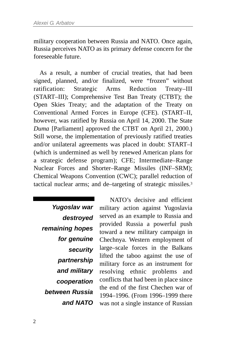military cooperation between Russia and NATO. Once again, Russia perceives NATO as its primary defense concern for the foreseeable future.

As a result, a number of crucial treaties, that had been signed, planned, and/or finalized, were "frozen" without ratification: Strategic Arms Reduction Treaty–III (START–III); Comprehensive Test Ban Treaty (CTBT); the Open Skies Treaty; and the adaptation of the Treaty on Conventional Armed Forces in Europe (CFE). (START–II, however, was ratified by Russia on April 14, 2000. The State *Duma* [Parliament] approved the CTBT on April 21, 2000.) Still worse, the implementation of previously ratified treaties and/or unilateral agreements was placed in doubt: START–I (which is undermined as well by renewed American plans for a strategic defense program); CFE; Intermediate–Range Nuclear Forces and Shorter–Range Missiles (INF–SRM); Chemical Weapons Convention (CWC); parallel reduction of tactical nuclear arms; and de–targeting of strategic missiles.3

*Yugoslav war destroyed remaining hopes for genuine security partnership and military cooperation between Russia and NATO* 

NATO's decisive and efficient military action against Yugoslavia served as an example to Russia and provided Russia a powerful push toward a new military campaign in Chechnya. Western employment of large–scale forces in the Balkans lifted the taboo against the use of military force as an instrument for resolving ethnic problems and conflicts that had been in place since the end of the first Chechen war of 1994–1996. (From 1996–1999 there was not a single instance of Russian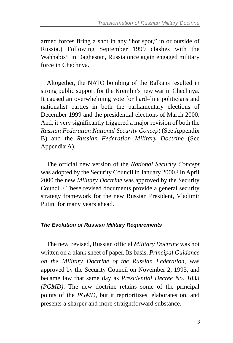armed forces firing a shot in any "hot spot," in or outside of Russia.) Following September 1999 clashes with the Wahhabis<sup>4</sup> in Daghestan, Russia once again engaged military force in Chechnya.

Altogether, the NATO bombing of the Balkans resulted in strong public support for the Kremlin's new war in Chechnya. It caused an overwhelming vote for hard–line politicians and nationalist parties in both the parliamentary elections of December 1999 and the presidential elections of March 2000. And, it very significantly triggered a major revision of both the *Russian Federation National Security Concept* (See Appendix B) and the *Russian Federation Military Doctrine* (See Appendix A).

The official new version of the *National Security Concept* was adopted by the Security Council in January 2000.<sup>5</sup> In April 2000 the new *Military Doctrine* was approved by the Security Council.6 These revised documents provide a general security strategy framework for the new Russian President, Vladimir Putin, for many years ahead.

## *The Evolution of Russian Military Requirements*

The new, revised, Russian official *Military Doctrine* was not written on a blank sheet of paper. Its basis, *Principal Guidance on the Military Doctrine of the Russian Federation*, was approved by the Security Council on November 2, 1993, and became law that same day as *Presidential Decree No. 1833 (PGMD)*. The new doctrine retains some of the principal points of the *PGMD*, but it reprioritizes, elaborates on, and presents a sharper and more straightforward substance.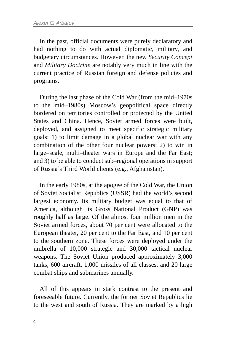In the past, official documents were purely declaratory and had nothing to do with actual diplomatic, military, and budgetary circumstances. However, the new *Security Concept* and *Military Doctrine* are notably very much in line with the current practice of Russian foreign and defense policies and programs.

During the last phase of the Cold War (from the mid–1970s to the mid–1980s) Moscow's geopolitical space directly bordered on territories controlled or protected by the United States and China. Hence, Soviet armed forces were built, deployed, and assigned to meet specific strategic military goals: 1) to limit damage in a global nuclear war with any combination of the other four nuclear powers; 2) to win in large–scale, multi–theater wars in Europe and the Far East; and 3) to be able to conduct sub–regional operations in support of Russia's Third World clients (e.g., Afghanistan).

In the early 1980s, at the apogee of the Cold War, the Union of Soviet Socialist Republics (USSR) had the world's second largest economy. Its military budget was equal to that of America, although its Gross National Product (GNP) was roughly half as large. Of the almost four million men in the Soviet armed forces, about 70 per cent were allocated to the European theater, 20 per cent to the Far East, and 10 per cent to the southern zone. These forces were deployed under the umbrella of 10,000 strategic and 30,000 tactical nuclear weapons. The Soviet Union produced approximately 3,000 tanks, 600 aircraft, 1,000 missiles of all classes, and 20 large combat ships and submarines annually.

All of this appears in stark contrast to the present and foreseeable future. Currently, the former Soviet Republics lie to the west and south of Russia. They are marked by a high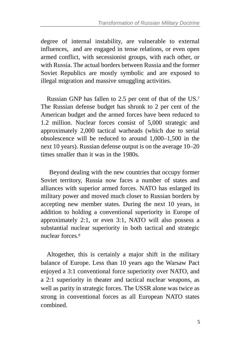degree of internal instability, are vulnerable to external influences, and are engaged in tense relations, or even open armed conflict, with secessionist groups, with each other, or with Russia. The actual borders between Russia and the former Soviet Republics are mostly symbolic and are exposed to illegal migration and massive smuggling activities.

Russian GNP has fallen to 2.5 per cent of that of the US.7 The Russian defense budget has shrunk to 2 per cent of the American budget and the armed forces have been reduced to 1.2 million. Nuclear forces consist of 5,000 strategic and approximately 2,000 tactical warheads (which due to serial obsolescence will be reduced to around 1,000–1,500 in the next 10 years). Russian defense output is on the average 10–20 times smaller than it was in the 1980s.

Beyond dealing with the new countries that occupy former Soviet territory, Russia now faces a number of states and alliances with superior armed forces. NATO has enlarged its military power and moved much closer to Russian borders by accepting new member states. During the next 10 years, in addition to holding a conventional superiority in Europe of approximately 2:1, or even 3:1, NATO will also possess a substantial nuclear superiority in both tactical and strategic nuclear forces.8

Altogether, this is certainly a major shift in the military balance of Europe. Less than 10 years ago the Warsaw Pact enjoyed a 3:1 conventional force superiority over NATO, and a 2:1 superiority in theater and tactical nuclear weapons, as well as parity in strategic forces. The USSR alone was twice as strong in conventional forces as all European NATO states combined.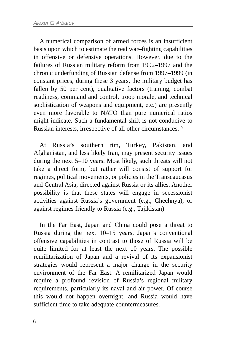A numerical comparison of armed forces is an insufficient basis upon which to estimate the real war–fighting capabilities in offensive or defensive operations. However, due to the failures of Russian military reform from 1992–1997 and the chronic underfunding of Russian defense from 1997–1999 (in constant prices, during these 3 years, the military budget has fallen by 50 per cent), qualitative factors (training, combat readiness, command and control, troop morale, and technical sophistication of weapons and equipment, etc.) are presently even more favorable to NATO than pure numerical ratios might indicate. Such a fundamental shift is not conducive to Russian interests, irrespective of all other circumstances. 9

At Russia's southern rim, Turkey, Pakistan, and Afghanistan, and less likely Iran, may present security issues during the next 5–10 years. Most likely, such threats will not take a direct form, but rather will consist of support for regimes, political movements, or policies in the Transcaucasus and Central Asia, directed against Russia or its allies. Another possibility is that these states will engage in secessionist activities against Russia's government (e.g., Chechnya), or against regimes friendly to Russia (e.g., Tajikistan).

In the Far East, Japan and China could pose a threat to Russia during the next 10–15 years. Japan's conventional offensive capabilities in contrast to those of Russia will be quite limited for at least the next 10 years. The possible remilitarization of Japan and a revival of its expansionist strategies would represent a major change in the security environment of the Far East. A remilitarized Japan would require a profound revision of Russia's regional military requirements, particularly its naval and air power. Of course this would not happen overnight, and Russia would have sufficient time to take adequate countermeasures.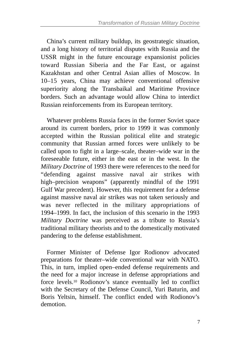China's current military buildup, its geostrategic situation, and a long history of territorial disputes with Russia and the USSR might in the future encourage expansionist policies toward Russian Siberia and the Far East, or against Kazakhstan and other Central Asian allies of Moscow. In 10–15 years, China may achieve conventional offensive superiority along the Transbaikal and Maritime Province borders. Such an advantage would allow China to interdict Russian reinforcements from its European territory.

Whatever problems Russia faces in the former Soviet space around its current borders, prior to 1999 it was commonly accepted within the Russian political elite and strategic community that Russian armed forces were unlikely to be called upon to fight in a large–scale, theater–wide war in the foreseeable future, either in the east or in the west. In the *Military Doctrine* of 1993 there were references to the need for "defending against massive naval air strikes with high–precision weapons" (apparently mindful of the 1991 Gulf War precedent). However, this requirement for a defense against massive naval air strikes was not taken seriously and was never reflected in the military appropriations of 1994–1999. In fact, the inclusion of this scenario in the 1993 *Military Doctrine* was perceived as a tribute to Russia's traditional military theorists and to the domestically motivated pandering to the defense establishment.

Former Minister of Defense Igor Rodionov advocated preparations for theater–wide conventional war with NATO. This, in turn, implied open–ended defense requirements and the need for a major increase in defense appropriations and force levels.10 Rodionov's stance eventually led to conflict with the Secretary of the Defense Council, Yuri Baturin, and Boris Yeltsin, himself. The conflict ended with Rodionov's demotion.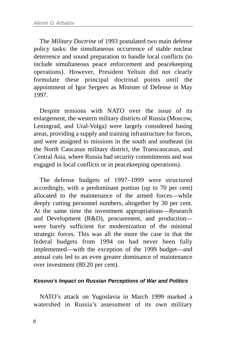The *Military Doctrine* of 1993 postulated two main defense policy tasks: the simultaneous occurrence of stable nuclear deterrence and sound preparation to handle local conflicts (to include simultaneous peace enforcement and peacekeeping operations). However, President Yeltsin did not clearly formulate these principal doctrinal points until the appointment of Igor Sergeev as Minister of Defense in May 1997.

Despite tensions with NATO over the issue of its enlargement, the western military districts of Russia (Moscow, Leningrad, and Ural-Volga) were largely considered basing areas, providing a supply and training infrastructure for forces, and were assigned to missions in the south and southeast (in the North Caucasus military district, the Transcaucasus, and Central Asia, where Russia had security commitments and was engaged in local conflicts or in peacekeeping operations).

The defense budgets of 1997–1999 were structured accordingly, with a predominant portion (up to 70 per cent) allocated to the maintenance of the armed forces—while deeply cutting personnel numbers, altogether by 30 per cent. At the same time the investment appropriations—Research and Development (R&D), procurement, and production were barely sufficient for modernization of the minimal strategic forces. This was all the more the case in that the federal budgets from 1994 on had never been fully implemented—with the exception of the 1999 budget—and annual cuts led to an even greater dominance of maintenance over investment (80:20 per cent).

#### *Kosovo's Impact on Russian Perceptions of War and Politics*

NATO's attack on Yugoslavia in March 1999 marked a watershed in Russia's assessment of its own military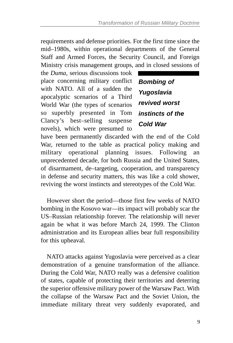requirements and defense priorities. For the first time since the mid–1980s, within operational departments of the General Staff and Armed Forces, the Security Council, and Foreign Ministry crisis management groups, and in closed sessions of

the *Duma*, serious discussions took place concerning military conflict with NATO. All of a sudden the apocalyptic scenarios of a Third World War (the types of scenarios so superbly presented in Tom Clancy's best–selling suspense novels), which were presumed to

*Bombing of Yugoslavia revived worst instincts of the Cold War* 

have been permanently discarded with the end of the Cold War, returned to the table as practical policy making and military operational planning issues. Following an unprecedented decade, for both Russia and the United States, of disarmament, de–targeting, cooperation, and transparency in defense and security matters, this was like a cold shower, reviving the worst instincts and stereotypes of the Cold War.

However short the period—those first few weeks of NATO bombing in the Kosovo war—its impact will probably scar the US–Russian relationship forever. The relationship will never again be what it was before March 24, 1999. The Clinton administration and its European allies bear full responsibility for this upheaval.

NATO attacks against Yugoslavia were perceived as a clear demonstration of a genuine transformation of the alliance. During the Cold War, NATO really was a defensive coalition of states, capable of protecting their territories and deterring the superior offensive military power of the Warsaw Pact. With the collapse of the Warsaw Pact and the Soviet Union, the immediate military threat very suddenly evaporated, and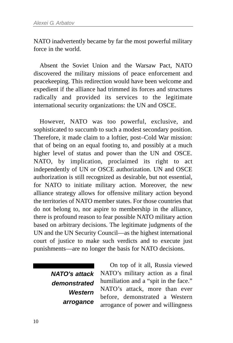NATO inadvertently became by far the most powerful military force in the world.

Absent the Soviet Union and the Warsaw Pact, NATO discovered the military missions of peace enforcement and peacekeeping. This redirection would have been welcome and expedient if the alliance had trimmed its forces and structures radically and provided its services to the legitimate international security organizations: the UN and OSCE.

However, NATO was too powerful, exclusive, and sophisticated to succumb to such a modest secondary position. Therefore, it made claim to a loftier, post–Cold War mission: that of being on an equal footing to, and possibly at a much higher level of status and power than the UN and OSCE. NATO, by implication, proclaimed its right to act independently of UN or OSCE authorization. UN and OSCE authorization is still recognized as desirable, but not essential, for NATO to initiate military action. Moreover, the new alliance strategy allows for offensive military action beyond the territories of NATO member states. For those countries that do not belong to, nor aspire to membership in the alliance, there is profound reason to fear possible NATO military action based on arbitrary decisions. The legitimate judgments of the UN and the UN Security Council—as the highest international court of justice to make such verdicts and to execute just punishments—are no longer the basis for NATO decisions.

> *NATO's attack demonstrated Western arrogance*

On top of it all, Russia viewed NATO's military action as a final humiliation and a "spit in the face." NATO's attack, more than ever before, demonstrated a Western arrogance of power and willingness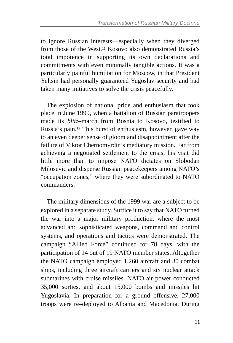to ignore Russian interests—especially when they diverged from those of the West.11 Kosovo also demonstrated Russia's total impotence in supporting its own declarations and commitments with even minimally tangible actions. It was a particularly painful humiliation for Moscow, in that President Yeltsin had personally guaranteed Yugoslav security and had taken many initiatives to solve the crisis peacefully.

The explosion of national pride and enthusiasm that took place in June 1999, when a battalion of Russian paratroopers made its *blitz*–march from Bosnia to Kosovo, testified to Russia's pain.12 This burst of enthusiasm, however, gave way to an even deeper sense of gloom and disappointment after the failure of Viktor Chernomyrdin's mediatory mission. Far from achieving a negotiated settlement to the crisis, his visit did little more than to impose NATO dictates on Slobodan Milosevic and disperse Russian peacekeepers among NATO's "occupation zones," where they were subordinated to NATO commanders.

The military dimensions of the 1999 war are a subject to be explored in a separate study. Suffice it to say that NATO turned the war into a major military production, where the most advanced and sophisticated weapons, command and control systems, and operations and tactics were demonstrated. The campaign "Allied Force" continued for 78 days, with the participation of 14 out of 19 NATO member states. Altogether the NATO campaign employed 1,260 aircraft and 30 combat ships, including three aircraft carriers and six nuclear attack submarines with cruise missiles. NATO air power conducted 35,000 sorties, and about 15,000 bombs and missiles hit Yugoslavia. In preparation for a ground offensive, 27,000 troops were re–deployed to Albania and Macedonia. During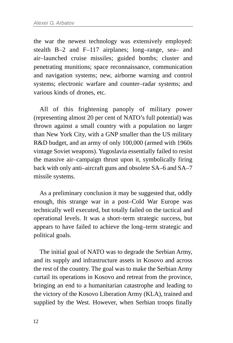the war the newest technology was extensively employed: stealth B–2 and F–117 airplanes; long–range, sea– and air–launched cruise missiles; guided bombs; cluster and penetrating munitions; space reconnaissance, communication and navigation systems; new, airborne warning and control systems; electronic warfare and counter–radar systems; and various kinds of drones, etc.

All of this frightening panoply of military power (representing almost 20 per cent of NATO's full potential) was thrown against a small country with a population no larger than New York City, with a GNP smaller than the US military R&D budget, and an army of only 100,000 (armed with 1960s vintage Soviet weapons). Yugoslavia essentially failed to resist the massive air–campaign thrust upon it, symbolically firing back with only anti–aircraft guns and obsolete SA–6 and SA–7 missile systems.

As a preliminary conclusion it may be suggested that, oddly enough, this strange war in a post–Cold War Europe was technically well executed, but totally failed on the tactical and operational levels. It was a short–term strategic success, but appears to have failed to achieve the long–term strategic and political goals.

The initial goal of NATO was to degrade the Serbian Army, and its supply and infrastructure assets in Kosovo and across the rest of the country. The goal was to make the Serbian Army curtail its operations in Kosovo and retreat from the province, bringing an end to a humanitarian catastrophe and leading to the victory of the Kosovo Liberation Army (KLA), trained and supplied by the West. However, when Serbian troops finally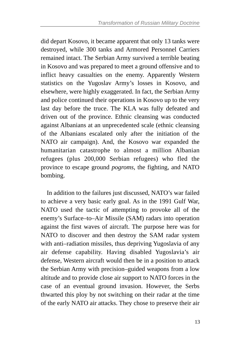did depart Kosovo, it became apparent that only 13 tanks were destroyed, while 300 tanks and Armored Personnel Carriers remained intact. The Serbian Army survived a terrible beating in Kosovo and was prepared to meet a ground offensive and to inflict heavy casualties on the enemy. Apparently Western statistics on the Yugoslav Army's losses in Kosovo, and elsewhere, were highly exaggerated. In fact, the Serbian Army and police continued their operations in Kosovo up to the very last day before the truce. The KLA was fully defeated and driven out of the province. Ethnic cleansing was conducted against Albanians at an unprecedented scale (ethnic cleansing of the Albanians escalated only after the initiation of the NATO air campaign). And, the Kosovo war expanded the humanitarian catastrophe to almost a million Albanian refugees (plus 200,000 Serbian refugees) who fled the province to escape ground *pogroms*, the fighting, and NATO bombing.

In addition to the failures just discussed, NATO's war failed to achieve a very basic early goal. As in the 1991 Gulf War, NATO used the tactic of attempting to provoke all of the enemy's Surface–to–Air Missile (SAM) radars into operation against the first waves of aircraft. The purpose here was for NATO to discover and then destroy the SAM radar system with anti–radiation missiles, thus depriving Yugoslavia of any air defense capability. Having disabled Yugoslavia's air defense, Western aircraft would then be in a position to attack the Serbian Army with precision–guided weapons from a low altitude and to provide close air support to NATO forces in the case of an eventual ground invasion. However, the Serbs thwarted this ploy by not switching on their radar at the time of the early NATO air attacks. They chose to preserve their air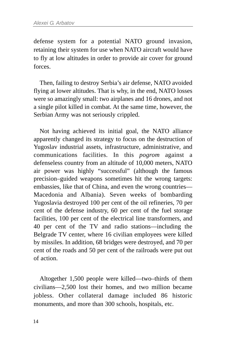defense system for a potential NATO ground invasion, retaining their system for use when NATO aircraft would have to fly at low altitudes in order to provide air cover for ground forces.

Then, failing to destroy Serbia's air defense, NATO avoided flying at lower altitudes. That is why, in the end, NATO losses were so amazingly small: two airplanes and 16 drones, and not a single pilot killed in combat. At the same time, however, the Serbian Army was not seriously crippled.

Not having achieved its initial goal, the NATO alliance apparently changed its strategy to focus on the destruction of Yugoslav industrial assets, infrastructure, administrative, and communications facilities. In this *pogrom* against a defenseless country from an altitude of 10,000 meters, NATO air power was highly "successful" (although the famous precision–guided weapons sometimes hit the wrong targets: embassies, like that of China, and even the wrong countries— Macedonia and Albania). Seven weeks of bombarding Yugoslavia destroyed 100 per cent of the oil refineries, 70 per cent of the defense industry, 60 per cent of the fuel storage facilities, 100 per cent of the electrical line transformers, and 40 per cent of the TV and radio stations—including the Belgrade TV center, where 16 civilian employees were killed by missiles. In addition, 68 bridges were destroyed, and 70 per cent of the roads and 50 per cent of the railroads were put out of action.

Altogether 1,500 people were killed—two–thirds of them civilians—2,500 lost their homes, and two million became jobless. Other collateral damage included 86 historic monuments, and more than 300 schools, hospitals, etc.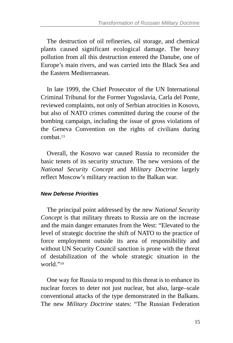The destruction of oil refineries, oil storage, and chemical plants caused significant ecological damage. The heavy pollution from all this destruction entered the Danube, one of Europe's main rivers, and was carried into the Black Sea and the Eastern Mediterranean.

In late 1999, the Chief Prosecutor of the UN International Criminal Tribunal for the Former Yugoslavia, Carla del Ponte, reviewed complaints, not only of Serbian atrocities in Kosovo, but also of NATO crimes committed during the course of the bombing campaign, including the issue of gross violations of the Geneva Convention on the rights of civilians during combat.13

Overall, the Kosovo war caused Russia to reconsider the basic tenets of its security structure. The new versions of the *National Security Concept* and *Military Doctrine* largely reflect Moscow's military reaction to the Balkan war.

## *New Defense Priorities*

The principal point addressed by the new *National Security Concept* is that military threats to Russia are on the increase and the main danger emanates from the West: "Elevated to the level of strategic doctrine the shift of NATO to the practice of force employment outside its area of responsibility and without UN Security Council sanction is prone with the threat of destabilization of the whole strategic situation in the world."14

One way for Russia to respond to this threat is to enhance its nuclear forces to deter not just nuclear, but also, large–scale conventional attacks of the type demonstrated in the Balkans. The new *Military Doctrine* states: "The Russian Federation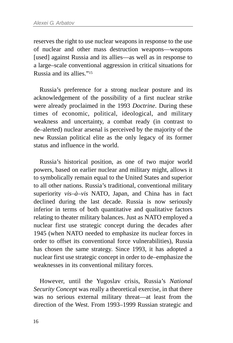reserves the right to use nuclear weapons in response to the use of nuclear and other mass destruction weapons—weapons [used] against Russia and its allies—as well as in response to a large–scale conventional aggression in critical situations for Russia and its allies."15

Russia's preference for a strong nuclear posture and its acknowledgement of the possibility of a first nuclear strike were already proclaimed in the 1993 *Doctrine*. During these times of economic, political, ideological, and military weakness and uncertainty, a combat ready (in contrast to de–alerted) nuclear arsenal is perceived by the majority of the new Russian political elite as the only legacy of its former status and influence in the world.

Russia's historical position, as one of two major world powers, based on earlier nuclear and military might, allows it to symbolically remain equal to the United States and superior to all other nations. Russia's traditional, conventional military superiority *vis–à–vis* NATO, Japan, and China has in fact declined during the last decade. Russia is now seriously inferior in terms of both quantitative and qualitative factors relating to theater military balances. Just as NATO employed a nuclear first use strategic concept during the decades after 1945 (when NATO needed to emphasize its nuclear forces in order to offset its conventional force vulnerabilities), Russia has chosen the same strategy. Since 1993, it has adopted a nuclear first use strategic concept in order to de–emphasize the weaknesses in its conventional military forces.

However, until the Yugoslav crisis, Russia's *National Security Concept* was really a theoretical exercise, in that there was no serious external military threat—at least from the direction of the West. From 1993–1999 Russian strategic and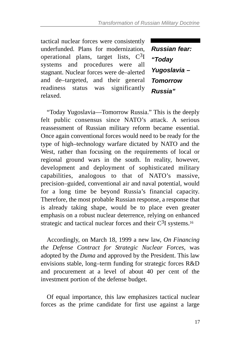tactical nuclear forces were consistently underfunded. Plans for modernization, operational plans, target lists,  $C<sup>3</sup>I$ systems and procedures were all stagnant. Nuclear forces were de–alerted and de–targeted, and their general readiness status was significantly relaxed.

*Russian fear: "Today Yugoslavia – Tomorrow Russia"*

"Today Yugoslavia—Tomorrow Russia." This is the deeply felt public consensus since NATO's attack. A serious reassessment of Russian military reform became essential. Once again conventional forces would need to be ready for the type of high–technology warfare dictated by NATO and the West, rather than focusing on the requirements of local or regional ground wars in the south. In reality, however, development and deployment of sophisticated military capabilities, analogous to that of NATO's massive, precision–guided, conventional air and naval potential, would for a long time be beyond Russia's financial capacity. Therefore, the most probable Russian response, a response that is already taking shape, would be to place even greater emphasis on a robust nuclear deterrence, relying on enhanced strategic and tactical nuclear forces and their C<sup>3</sup>I systems.<sup>16</sup>

Accordingly, on March 18, 1999 a new law, *On Financing the Defense Contract for Strategic Nuclear Forces*, was adopted by the *Duma* and approved by the President. This law envisions stable, long–term funding for strategic forces R&D and procurement at a level of about 40 per cent of the investment portion of the defense budget.

Of equal importance, this law emphasizes tactical nuclear forces as the prime candidate for first use against a large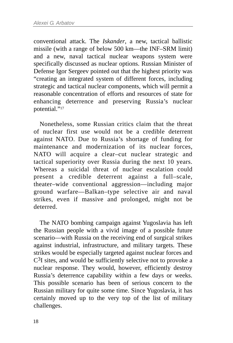conventional attack. The *Iskander*, a new, tactical ballistic missile (with a range of below 500 km—the INF–SRM limit) and a new, naval tactical nuclear weapons system were specifically discussed as nuclear options. Russian Minister of Defense Igor Sergeev pointed out that the highest priority was "creating an integrated system of different forces, including strategic and tactical nuclear components, which will permit a reasonable concentration of efforts and resources of state for enhancing deterrence and preserving Russia's nuclear potential."<sup>17</sup>

Nonetheless, some Russian critics claim that the threat of nuclear first use would not be a credible deterrent against NATO. Due to Russia's shortage of funding for maintenance and modernization of its nuclear forces, NATO will acquire a clear–cut nuclear strategic and tactical superiority over Russia during the next 10 years. Whereas a suicidal threat of nuclear escalation could present a credible deterrent against a full–scale, theater–wide conventional aggression—including major ground warfare—Balkan–type selective air and naval strikes, even if massive and prolonged, might not be deterred.

The NATO bombing campaign against Yugoslavia has left the Russian people with a vivid image of a possible future scenario—with Russia on the receiving end of surgical strikes against industrial, infrastructure, and military targets. These strikes would be especially targeted against nuclear forces and C3I sites, and would be sufficiently selective not to provoke a nuclear response. They would, however, efficiently destroy Russia's deterrence capability within a few days or weeks. This possible scenario has been of serious concern to the Russian military for quite some time. Since Yugoslavia, it has certainly moved up to the very top of the list of military challenges.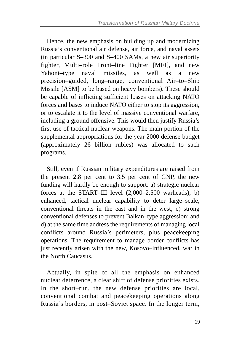Hence, the new emphasis on building up and modernizing Russia's conventional air defense, air force, and naval assets (in particular S–300 and S–400 SAMs, a new air superiority fighter, Multi–role Front–line Fighter [MFI], and new Yahont–type naval missiles, as well as a new precision–guided, long–range, conventional Air–to–Ship Missile [ASM] to be based on heavy bombers). These should be capable of inflicting sufficient losses on attacking NATO forces and bases to induce NATO either to stop its aggression, or to escalate it to the level of massive conventional warfare, including a ground offensive. This would then justify Russia's first use of tactical nuclear weapons. The main portion of the supplemental appropriations for the year 2000 defense budget (approximately 26 billion rubles) was allocated to such programs.

Still, even if Russian military expenditures are raised from the present 2.8 per cent to 3.5 per cent of GNP, the new funding will hardly be enough to support: a) strategic nuclear forces at the START–III level (2,000–2,500 warheads); b) enhanced, tactical nuclear capability to deter large–scale, conventional threats in the east and in the west; c) strong conventional defenses to prevent Balkan–type aggression; and d) at the same time address the requirements of managing local conflicts around Russia's perimeters, plus peacekeeping operations. The requirement to manage border conflicts has just recently arisen with the new, Kosovo–influenced, war in the North Caucasus.

Actually, in spite of all the emphasis on enhanced nuclear deterrence, a clear shift of defense priorities exists. In the short–run, the new defense priorities are local, conventional combat and peacekeeping operations along Russia's borders, in post–Soviet space. In the longer term,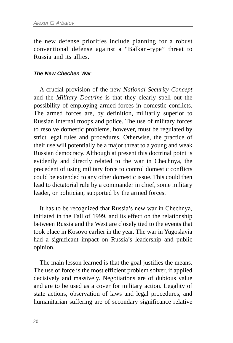the new defense priorities include planning for a robust conventional defense against a "Balkan–type" threat to Russia and its allies.

#### *The New Chechen War*

A crucial provision of the new *National Security Concept* and the *Military Doctrine* is that they clearly spell out the possibility of employing armed forces in domestic conflicts. The armed forces are, by definition, militarily superior to Russian internal troops and police. The use of military forces to resolve domestic problems, however, must be regulated by strict legal rules and procedures. Otherwise, the practice of their use will potentially be a major threat to a young and weak Russian democracy. Although at present this doctrinal point is evidently and directly related to the war in Chechnya, the precedent of using military force to control domestic conflicts could be extended to any other domestic issue. This could then lead to dictatorial rule by a commander in chief, some military leader, or politician, supported by the armed forces.

It has to be recognized that Russia's new war in Chechnya, initiated in the Fall of 1999, and its effect on the relationship between Russia and the West are closely tied to the events that took place in Kosovo earlier in the year. The war in Yugoslavia had a significant impact on Russia's leadership and public opinion.

The main lesson learned is that the goal justifies the means. The use of force is the most efficient problem solver, if applied decisively and massively. Negotiations are of dubious value and are to be used as a cover for military action. Legality of state actions, observation of laws and legal procedures, and humanitarian suffering are of secondary significance relative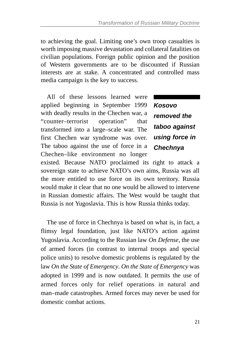to achieving the goal. Limiting one's own troop casualties is worth imposing massive devastation and collateral fatalities on civilian populations. Foreign public opinion and the position of Western governments are to be discounted if Russian interests are at stake. A concentrated and controlled mass media campaign is the key to success.

All of these lessons learned were applied beginning in September 1999 with deadly results in the Chechen war, a "counter–terrorist operation" that transformed into a large–scale war. The first Chechen war syndrome was over. The taboo against the use of force in a Chechen–like environment no longer

*Kosovo removed the taboo against using force in Chechnya*

existed. Because NATO proclaimed its right to attack a sovereign state to achieve NATO's own aims, Russia was all the more entitled to use force on its own territory. Russia would make it clear that no one would be allowed to intervene in Russian domestic affairs. The West would be taught that Russia is not Yugoslavia. This is how Russia thinks today.

The use of force in Chechnya is based on what is, in fact, a flimsy legal foundation, just like NATO's action against Yugoslavia. According to the Russian law *On Defense*, the use of armed forces (in contrast to internal troops and special police units) to resolve domestic problems is regulated by the law *On the State of Emergency*. *On the State of Emergency* was adopted in 1999 and is now outdated. It permits the use of armed forces only for relief operations in natural and man–made catastrophes. Armed forces may never be used for domestic combat actions.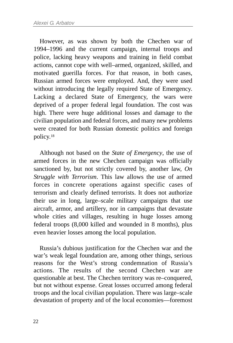However, as was shown by both the Chechen war of 1994–1996 and the current campaign, internal troops and police, lacking heavy weapons and training in field combat actions, cannot cope with well–armed, organized, skilled, and motivated guerilla forces. For that reason, in both cases, Russian armed forces were employed. And, they were used without introducing the legally required State of Emergency. Lacking a declared State of Emergency, the wars were deprived of a proper federal legal foundation. The cost was high. There were huge additional losses and damage to the civilian population and federal forces, and many new problems were created for both Russian domestic politics and foreign policy.18

Although not based on the *State of Emergency*, the use of armed forces in the new Chechen campaign was officially sanctioned by, but not strictly covered by, another law, *On Struggle with Terrorism*. This law allows the use of armed forces in concrete operations against specific cases of terrorism and clearly defined terrorists. It does not authorize their use in long, large–scale military campaigns that use aircraft, armor, and artillery, nor in campaigns that devastate whole cities and villages, resulting in huge losses among federal troops (8,000 killed and wounded in 8 months), plus even heavier losses among the local population.

Russia's dubious justification for the Chechen war and the war's weak legal foundation are, among other things, serious reasons for the West's strong condemnation of Russia's actions. The results of the second Chechen war are questionable at best. The Chechen territory was re–conquered, but not without expense. Great losses occurred among federal troops and the local civilian population. There was large–scale devastation of property and of the local economies—foremost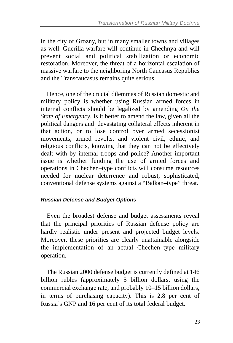in the city of Grozny, but in many smaller towns and villages as well. Guerilla warfare will continue in Chechnya and will prevent social and political stabilization or economic restoration. Moreover, the threat of a horizontal escalation of massive warfare to the neighboring North Caucasus Republics and the Transcaucasus remains quite serious.

Hence, one of the crucial dilemmas of Russian domestic and military policy is whether using Russian armed forces in internal conflicts should be legalized by amending *On the State of Emergency*. Is it better to amend the law, given all the political dangers and devastating collateral effects inherent in that action, or to lose control over armed secessionist movements, armed revolts, and violent civil, ethnic, and religious conflicts, knowing that they can not be effectively dealt with by internal troops and police? Another important issue is whether funding the use of armed forces and operations in Chechen–type conflicts will consume resources needed for nuclear deterrence and robust, sophisticated, conventional defense systems against a "Balkan–type" threat.

# *Russian Defense and Budget Options*

Even the broadest defense and budget assessments reveal that the principal priorities of Russian defense policy are hardly realistic under present and projected budget levels. Moreover, these priorities are clearly unattainable alongside the implementation of an actual Chechen–type military operation.

The Russian 2000 defense budget is currently defined at 146 billion rubles (approximately 5 billion dollars, using the commercial exchange rate, and probably 10–15 billion dollars, in terms of purchasing capacity). This is 2.8 per cent of Russia's GNP and 16 per cent of its total federal budget.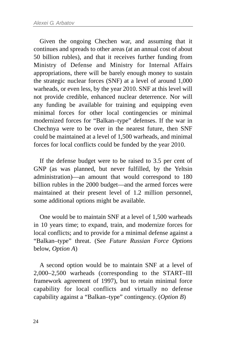Given the ongoing Chechen war, and assuming that it continues and spreads to other areas (at an annual cost of about 50 billion rubles), and that it receives further funding from Ministry of Defense and Ministry for Internal Affairs appropriations, there will be barely enough money to sustain the strategic nuclear forces (SNF) at a level of around 1,000 warheads, or even less, by the year 2010. SNF at this level will not provide credible, enhanced nuclear deterrence. Nor will any funding be available for training and equipping even minimal forces for other local contingencies or minimal modernized forces for "Balkan–type" defenses. If the war in Chechnya were to be over in the nearest future, then SNF could be maintained at a level of 1,500 warheads, and minimal forces for local conflicts could be funded by the year 2010.

If the defense budget were to be raised to 3.5 per cent of GNP (as was planned, but never fulfilled, by the Yeltsin administration)—an amount that would correspond to 180 billion rubles in the 2000 budget—and the armed forces were maintained at their present level of 1.2 million personnel, some additional options might be available.

One would be to maintain SNF at a level of 1,500 warheads in 10 years time; to expand, train, and modernize forces for local conflicts; and to provide for a minimal defense against a "Balkan–type" threat. (See *Future Russian Force Options* below, *Option A*)

A second option would be to maintain SNF at a level of 2,000–2,500 warheads (corresponding to the START–III framework agreement of 1997), but to retain minimal force capability for local conflicts and virtually no defense capability against a "Balkan–type" contingency. (*Option B*)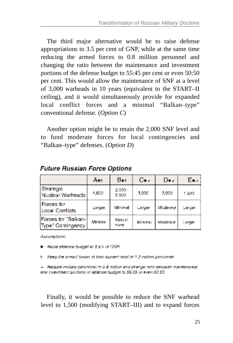The third major alternative would be to raise defense appropriations to 3.5 per cent of GNP, while at the same time reducing the armed forces to 0.8 million personnel and changing the ratio between the maintenance and investment portions of the defense budget to 55:45 per cent or even 50:50 per cent. This would allow the maintenance of SNF at a level of 3,000 warheads in 10 years (equivalent to the START–II ceiling), and it would simultaneously provide for expanded local conflict forces and a minimal "Balkan–type" conventional defense. (*Option C*)

Another option might be to retain the 2,000 SNF level and to fund moderate forces for local contingencies and "Balkan–type" defenses. (*Option D*)

|                                           |           | Bar                                       | Cau      | $D_{\pm}$ | Fx.       |
|-------------------------------------------|-----------|-------------------------------------------|----------|-----------|-----------|
| Strategic.<br>Neclear Warhoads            | 1,569     | $\mathcal{F}\oplus\mathcal{F}$ :<br>2,500 | 3.000    | $-7.009$  | 3.500     |
| Forces for<br>Lecal Confácts              | Satuer    | Missmal                                   | Eastgen  | Misderate | 江南市松西市    |
| Forces for *Salkan-≬<br>Type" Contingency | Mittitusi | Almost<br><b>Builte</b>                   | Merinosi | Moderain  | 5,586,027 |

# **Future Russian Force Options**

Assumptions:

- $*$  Haise determs budget to 3.5% at  $(35\%)$
- $\dagger$  . Easy the nomed turges of their sumset level of 1,2 million personnel.
- $\sim$  Reduce military personnel to 0.8 million and change ratio between maintenance. und investment portions of detense budget to 55.45 of even 50.50.

Finally, it would be possible to reduce the SNF warhead level to 1,500 (modifying START–III) and to expand forces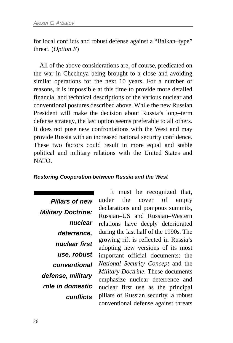for local conflicts and robust defense against a "Balkan–type" threat. (*Option E*)

All of the above considerations are, of course, predicated on the war in Chechnya being brought to a close and avoiding similar operations for the next 10 years. For a number of reasons, it is impossible at this time to provide more detailed financial and technical descriptions of the various nuclear and conventional postures described above. While the new Russian President will make the decision about Russia's long–term defense strategy, the last option seems preferable to all others. It does not pose new confrontations with the West and may provide Russia with an increased national security confidence. These two factors could result in more equal and stable political and military relations with the United States and NATO.

#### *Restoring Cooperation between Russia and the West*

*Pillars of new Military Doctrine: nuclear deterrence, nuclear first use, robust conventional defense, military role in domestic conflicts*

It must be recognized that, under the cover of empty declarations and pompous summits, Russian–US and Russian–Western relations have deeply deteriorated during the last half of the 1990s. The growing rift is reflected in Russia's adopting new versions of its most important official documents: the *National Security Concept* and the *Military Doctrine*. These documents emphasize nuclear deterrence and nuclear first use as the principal pillars of Russian security, a robust conventional defense against threats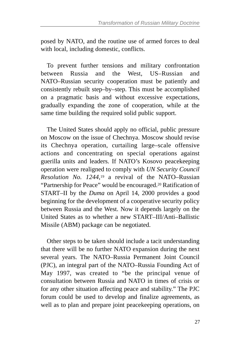posed by NATO, and the routine use of armed forces to deal with local, including domestic, conflicts.

To prevent further tensions and military confrontation between Russia and the West, US–Russian and NATO–Russian security cooperation must be patiently and consistently rebuilt step–by–step. This must be accomplished on a pragmatic basis and without excessive expectations, gradually expanding the zone of cooperation, while at the same time building the required solid public support.

The United States should apply no official, public pressure on Moscow on the issue of Chechnya. Moscow should revise its Chechnya operation, curtailing large–scale offensive actions and concentrating on special operations against guerilla units and leaders. If NATO's Kosovo peacekeeping operation were realigned to comply with *UN Security Council Resolution No. 1244*,19 a revival of the NATO–Russian "Partnership for Peace" would be encouraged.20 Ratification of START–II by the *Duma* on April 14, 2000 provides a good beginning for the development of a cooperative security policy between Russia and the West. Now it depends largely on the United States as to whether a new START–III/Anti–Ballistic Missile (ABM) package can be negotiated.

Other steps to be taken should include a tacit understanding that there will be no further NATO expansion during the next several years. The NATO–Russia Permanent Joint Council (PJC), an integral part of the NATO–Russia Founding Act of May 1997, was created to "be the principal venue of consultation between Russia and NATO in times of crisis or for any other situation affecting peace and stability." The PJC forum could be used to develop and finalize agreements, as well as to plan and prepare joint peacekeeping operations, on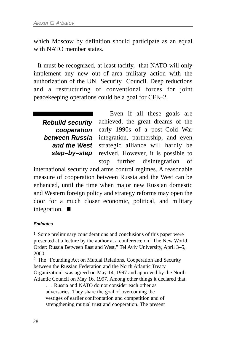which Moscow by definition should participate as an equal with NATO member states.

It must be recognized, at least tacitly, that NATO will only implement any new out–of–area military action with the authorization of the UN Security Council. Deep reductions and a restructuring of conventional forces for joint peacekeeping operations could be a goal for CFE–2.

*Rebuild security cooperation and the West step–by–step*

Even if all these goals are achieved, the great dreams of the early 1990s of a post–Cold War **between Russia** integration, partnership, and even strategic alliance will hardly be revived. However, it is possible to stop further disintegration of

international security and arms control regimes. A reasonable measure of cooperation between Russia and the West can be enhanced, until the time when major new Russian domestic and Western foreign policy and strategy reforms may open the door for a much closer economic, political, and military integration.

#### *Endnotes*

<sup>1.</sup> Some preliminary considerations and conclusions of this paper were presented at a lecture by the author at a conference on "The New World Order: Russia Between East and West," Tel Aviv University, April 3–5, 2000.

<sup>2.</sup> The "Founding Act on Mutual Relations, Cooperation and Security between the Russian Federation and the North Atlantic Treaty Organization" was agreed on May 14, 1997 and approved by the North Atlantic Council on May 16, 1997. Among other things it declared that:

. . . Russia and NATO do not consider each other as adversaries. They share the goal of overcoming the vestiges of earlier confrontation and competition and of strengthening mutual trust and cooperation. The present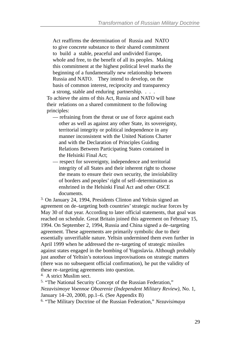Act reaffirms the determination of Russia and NATO to give concrete substance to their shared commitment to build a stable, peaceful and undivided Europe, whole and free, to the benefit of all its peoples. Making this commitment at the highest political level marks the beginning of a fundamentally new relationship between Russia and NATO. They intend to develop, on the basis of common interest, reciprocity and transparency a strong, stable and enduring partnership. . . .

To achieve the aims of this Act, Russia and NATO will base their relations on a shared commitment to the following principles:

— refraining from the threat or use of force against each other as well as against any other State, its sovereignty, territorial integrity or political independence in any manner inconsistent with the United Nations Charter and with the Declaration of Principles Guiding Relations Between Participating States contained in the Helsinki Final Act;

— respect for sovereignty, independence and territorial integrity of all States and their inherent right to choose the means to ensure their own security, the inviolability of borders and peoples' right of self–determination as enshrined in the Helsinki Final Act and other OSCE documents.

3. On January 24, 1994, Presidents Clinton and Yeltsin signed an agreement on de–targeting both countries' strategic nuclear forces by May 30 of that year. According to later official statements, that goal was reached on schedule. Great Britain joined this agreement on February 15, 1994. On September 2, 1994, Russia and China signed a de–targeting agreement. These agreements are primarily symbolic due to their essentially unverifiable nature. Yeltsin undermined them even further in April 1999 when he addressed the re–targeting of strategic missiles against states engaged in the bombing of Yugoslavia. Although probably just another of Yeltsin's notorious improvisations on strategic matters (there was no subsequent official confirmation), he put the validity of these re–targeting agreements into question.

4. A strict Muslim sect.

<sup>5.</sup> "The National Security Concept of the Russian Federation," *Nezavisimoye Voennoe Obozrenie (Independent Military Review)*, No. 1, January 14–20, 2000, pp.1–6. (See Appendix B)

6. "The Military Doctrine of the Russian Federation," *Nezavisimaya*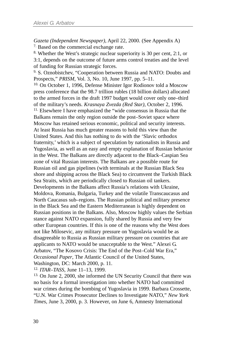*Gazeta (Independent Newspaper)*, April 22, 2000. (See Appendix A) 7. Based on the commercial exchange rate.

8. Whether the West's strategic nuclear superiority is 30 per cent, 2:1, or 3:1, depends on the outcome of future arms control treaties and the level of funding for Russian strategic forces.

9. S. Oznobistchev, "Cooperation between Russia and NATO: Doubts and Prospects," *PRISM*, Vol. 3, No. 10, June 1997, pp. 5–11.

10. On October 1, 1996, Defense Minister Igor Rodionov told a Moscow press conference that the 98.7 trillion rubles (18 billion dollars) allocated to the armed forces in the draft 1997 budget would cover only one–third of the military's needs. *Krasnaya Zvezda (Red Star)*, October 2, 1996. 11. Elsewhere I have emphasized the "wide consensus in Russia that the Balkans remain the only region outside the post–Soviet space where Moscow has retained serious economic, political and security interests. At least Russia has much greater reasons to hold this view than the United States. And this has nothing to do with the 'Slavic orthodox fraternity,' which is a subject of speculation by nationalists in Russia and Yugoslavia, as well as an easy and empty explanation of Russian behavior in the West. The Balkans are directly adjacent to the Black–Caspian Sea zone of vital Russian interests. The Balkans are a possible route for Russian oil and gas pipelines (with terminals at the Russian Black Sea shore and shipping across the Black Sea) to circumvent the Turkish Black Sea Straits, which are periodically closed to Russian oil tankers. Developments in the Balkans affect Russia's relations with Ukraine, Moldova, Romania, Bulgaria, Turkey and the volatile Transcaucasus and North Caucasus sub–regions. The Russian political and military presence in the Black Sea and the Eastern Mediterranean is highly dependent on Russian positions in the Balkans. Also, Moscow highly values the Serbian stance against NATO expansion, fully shared by Russia and very few other European countries. If this is one of the reasons why the West does not like Milosevic, any military pressure on Yugoslavia would be as disagreeable to Russia as Russian military pressure on countries that are applicants to NATO would be unacceptable to the West." Alexei G. Arbatov, "The Kosovo Crisis: The End of the Post–Cold War Era," *Occasional Paper*, The Atlantic Council of the United States, Washington, DC: March 2000, p. 11.

12. *ITAR–TASS*, June 11–13, 1999.

13. On June 2, 2000, she informed the UN Security Council that there was no basis for a formal investigation into whether NATO had committed war crimes during the bombing of Yugoslavia in 1999. Barbara Crossette, "U.N. War Crimes Prosecutor Declines to Investigate NATO," *New York Times*, June 3, 2000, p. 3. However, on June 6, Amnesty International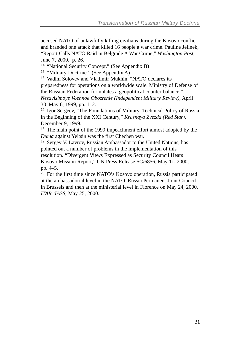accused NATO of unlawfully killing civilians during the Kosovo conflict and branded one attack that killed 16 people a war crime. Pauline Jelinek, "Report Calls NATO Raid in Belgrade A War Crime," *Washington Post*, June 7, 2000, p. 26.

14. "National Security Concept." (See Appendix B)

15. "Military Doctrine." (See Appendix A)

16. Vadim Solovev and Vladimir Mukhin, "NATO declares its preparedness for operations on a worldwide scale. Ministry of Defense of the Russian Federation formulates a geopolitical counter-balance." *Nezavisimoye Voennoe Obozrenie (Independent Military Review)*, April 30–May 6, 1999, pp. 1–2.

17. Igor Sergeev, "The Foundations of Military–Technical Policy of Russia in the Beginning of the XXI Century," *Krasnaya Zvezda (Red Star)*, December 9, 1999.

<sup>18.</sup> The main point of the 1999 impeachment effort almost adopted by the *Duma* against Yeltsin was the first Chechen war.

19. Sergey V. Lavrov, Russian Ambassador to the United Nations, has pointed out a number of problems in the implementation of this resolution. "Divergent Views Expressed as Security Council Hears Kosovo Mission Report," UN Press Release SC/6856, May 11, 2000, pp. 4–5.

20. For the first time since NATO's Kosovo operation, Russia participated at the ambassadorial level in the NATO–Russia Permanent Joint Council in Brussels and then at the ministerial level in Florence on May 24, 2000. *ITAR–TASS*, May 25, 2000.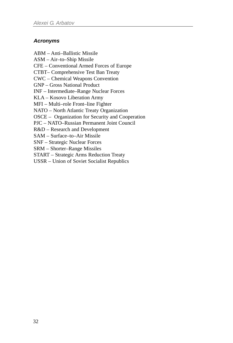## *Acronyms*

ABM – Anti–Ballistic Missile

ASM – Air–to–Ship Missile

CFE – Conventional Armed Forces of Europe

CTBT– Comprehensive Test Ban Treaty

CWC – Chemical Weapons Convention

GNP – Gross National Product

INF – Intermediate–Range Nuclear Forces

KLA – Kosovo Liberation Army

MFI – Multi–role Front–line Fighter

NATO – North Atlantic Treaty Organization

OSCE – Organization for Security and Cooperation

PJC – NATO–Russian Permanent Joint Council

R&D – Research and Development

SAM – Surface–to–Air Missile

SNF – Strategic Nuclear Forces

SRM – Shorter–Range Missiles

START – Strategic Arms Reduction Treaty

USSR – Union of Soviet Socialist Republics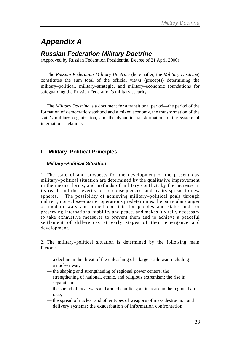# *Appendix A*

# *Russian Federation Military Doctrine*

(Approved by Russian Federation Presidential Decree of 21 April  $2000$ )<sup>1</sup>

The *Russian Federation Military Doctrine* (hereinafter, the *Military Doctrine*) constitutes the sum total of the official views (precepts) determining the military–political, military–strategic, and military–economic foundations for safeguarding the Russian Federation's military security.

The *Military Doctrine* is a document for a transitional period—the period of the formation of democratic statehood and a mixed economy, the transformation of the state's military organization, and the dynamic transformation of the system of international relations.

. . .

#### **I. Military–Political Principles**

#### *Military–Political Situation*

1. The state of and prospects for the development of the present–day military–political situation are determined by the qualitative improvement in the means, forms, and methods of military conflict, by the increase in its reach and the severity of its consequences, and by its spread to new spheres. The possibility of achieving military–political goals through indirect, non–close–quarter operations predetermines the particular danger of modern wars and armed conflicts for peoples and states and for preserving international stability and peace, and makes it vitally necessary to take exhaustive measures to prevent them and to achieve a peaceful settlement of differences at early stages of their emergence and development.

2. The military–political situation is determined by the following main factors:

- a decline in the threat of the unleashing of a large–scale war, including a nuclear war;
- the shaping and strengthening of regional power centers; the strengthening of national, ethnic, and religious extremism; the rise in separatism;
- the spread of local wars and armed conflicts; an increase in the regional arms race;
- the spread of nuclear and other types of weapons of mass destruction and delivery systems; the exacerbation of information confrontation.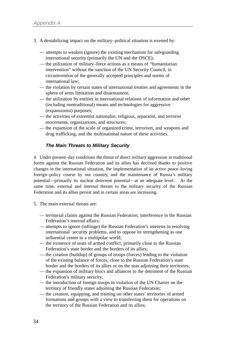- 3. A destabilizing impact on the military–political situation is exerted by:
	- attempts to weaken (ignore) the existing mechanism for safeguarding international security (primarily the UN and the OSCE);
	- the utilization of military–force actions as a means of "humanitarian intervention" without the sanction of the UN Security Council, in circumvention of the generally accepted principles and norms of international law;
	- the violation by certain states of international treaties and agreements in the sphere of arms limitation and disarmament;
	- the utilization by entities in international relations of information and other (including nontraditional) means and technologies for aggressive (expansionist) purposes;
	- the activities of extremist nationalist, religious, separatist, and terrorist movements, organizations, and structures;
	- the expansion of the scale of organized crime, terrorism, and weapons and drug trafficking, and the multinational nature of these activities.

#### *The Main Threats to Military Security*

4. Under present–day conditions the threat of direct military aggression in traditional forms against the Russian Federation and its allies has declined thanks to positive changes in the international situation, the implementation of an active peace–loving foreign–policy course by our country, and the maintenance of Russia's military potential—primarily its nuclear deterrent potential—at an adequate level. At the same time, external and internal threats to the military security of the Russian Federation and its allies persist and in certain areas are increasing.

- 5. The main external threats are:
	- territorial claims against the Russian Federation; interference in the Russian Federation's internal affairs;
	- attempts to ignore (infringe) the Russian Federation's interests in resolving international security problems, and to oppose its strengthening as one influential center in a multipolar world;
	- the existence of seats of armed conflict, primarily close to the Russian Federation's state border and the borders of its allies;
	- the creation (buildup) of groups of troops (forces) leading to the violation of the existing balance of forces, close to the Russian Federation's state border and the borders of its allies or on the seas adjoining their territories;
	- the expansion of military blocs and alliances to the detriment of the Russian Federation's military security;
	- the introduction of foreign troops in violation of the UN Charter on the territory of friendly states adjoining the Russian Federation;
	- the creation, equipping, and training on other states' territories of armed formations and groups with a view to transferring them for operations on the territory of the Russian Federation and its allies;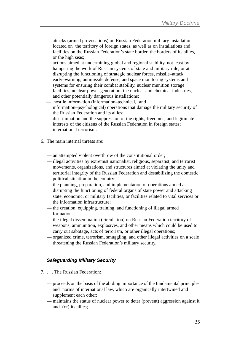- attacks (armed provocations) on Russian Federation military installations located on the territory of foreign states, as well as on installations and facilities on the Russian Federation's state border, the borders of its allies, or the high seas;
- actions aimed at undermining global and regional stability, not least by hampering the work of Russian systems of state and military rule, or at disrupting the functioning of strategic nuclear forces, missile–attack early–warning, antimissile defense, and space monitoring systems and systems for ensuring their combat stability, nuclear munition storage facilities, nuclear power generation, the nuclear and chemical industries, and other potentially dangerous installations;
- hostile information (information–technical, [and] information–psychological) operations that damage the military security of the Russian Federation and its allies;
- discrimination and the suppression of the rights, freedoms, and legitimate interests of the citizens of the Russian Federation in foreign states;
- international terrorism.
- 6. The main internal threats are:
	- an attempted violent overthrow of the constitutional order;
	- illegal activities by extremist nationalist, religious, separatist, and terrorist movements, organizations, and structures aimed at violating the unity and territorial integrity of the Russian Federation and destabilizing the domestic political situation in the country;
	- the planning, preparation, and implementation of operations aimed at disrupting the functioning of federal organs of state power and attacking state, economic, or military facilities, or facilities related to vital services or the information infrastructure;
	- the creation, equipping, training, and functioning of illegal armed formations;
	- the illegal dissemination (circulation) on Russian Federation territory of weapons, ammunition, explosives, and other means which could be used to carry out sabotage, acts of terrorism, or other illegal operations;
	- organized crime, terrorism, smuggling, and other illegal activities on a scale threatening the Russian Federation's military security.

#### *Safeguarding Military Security*

- 7. . . . The Russian Federation:
	- proceeds on the basis of the abiding importance of the fundamental principles and norms of international law, which are organically intertwined and supplement each other;
	- maintains the status of nuclear power to deter (prevent) aggression against it and (or) its allies;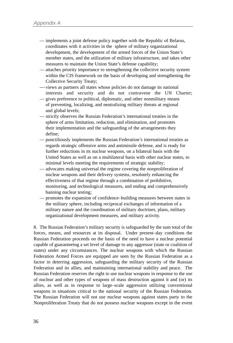- implements a joint defense policy together with the Republic of Belarus, coordinates with it activities in the sphere of military organizational development, the development of the armed forces of the Union State's member states, and the utilization of military infrastructure, and takes other measures to maintain the Union State's defense capability;
- attaches priority importance to strengthening the collective security system within the CIS framework on the basis of developing and strengthening the Collective Security Treaty;
- —views as partners all states whose policies do not damage its national interests and security and do not contravene the UN Charter;
- gives preference to political, diplomatic, and other nonmilitary means of preventing, localizing, and neutralizing military threats at regional and global levels;
- strictly observes the Russian Federation's international treaties in the sphere of arms limitation, reduction, and elimination, and promotes their implementation and the safeguarding of the arrangements they define;
- punctiliously implements the Russian Federation's international treaties as regards strategic offensive arms and antimissile defense, and is ready for further reductions in its nuclear weapons, on a bilateral basis with the United States as well as on a multilateral basis with other nuclear states, to minimal levels meeting the requirements of strategic stability;
- advocates making universal the regime covering the nonproliferation of nuclear weapons and their delivery systems, resolutely enhancing the effectiveness of that regime through a combination of prohibitive, monitoring, and technological measures, and ending and comprehensively banning nuclear testing;
- promotes the expansion of confidence–building measures between states in the military sphere, including reciprocal exchanges of information of a military nature and the coordination of military doctrines, plans, military organizational development measures, and military activity.

8. The Russian Federation's military security is safeguarded by the sum total of the forces, means, and resources at its disposal. Under present–day conditions the Russian Federation proceeds on the basis of the need to have a nuclear potential capable of guaranteeing a set level of damage to any aggressor (state or coalition of states) under any circumstances. The nuclear weapons with which the Russian Federation Armed Forces are equipped are seen by the Russian Federation as a factor in deterring aggression, safeguarding the military security of the Russian Federation and its allies, and maintaining international stability and peace. The Russian Federation reserves the right to use nuclear weapons in response to the use of nuclear and other types of weapons of mass destruction against it and (or) its allies, as well as in response to large–scale aggression utilizing conventional weapons in situations critical to the national security of the Russian Federation. The Russian Federation will not use nuclear weapons against states party to the Nonproliferation Treaty that do not possess nuclear weapons except in the event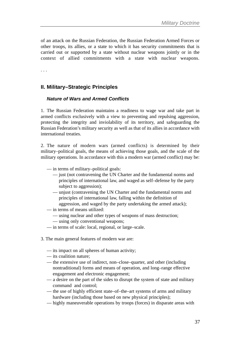of an attack on the Russian Federation, the Russian Federation Armed Forces or other troops, its allies, or a state to which it has security commitments that is carried out or supported by a state without nuclear weapons jointly or in the context of allied commitments with a state with nuclear weapons.

. . .

#### **II. Military–Strategic Principles**

#### *Nature of Wars and Armed Conflicts*

1. The Russian Federation maintains a readiness to wage war and take part in armed conflicts exclusively with a view to preventing and repulsing aggression, protecting the integrity and inviolability of its territory, and safeguarding the Russian Federation's military security as well as that of its allies in accordance with international treaties.

2. The nature of modern wars (armed conflicts) is determined by their military–political goals, the means of achieving those goals, and the scale of the military operations. In accordance with this a modern war (armed conflict) may be:

- in terms of military–political goals:
	- just (not contravening the UN Charter and the fundamental norms and principles of international law, and waged as self–defense by the party subject to aggression);
	- unjust (contravening the UN Charter and the fundamental norms and principles of international law, falling within the definition of aggression, and waged by the party undertaking the armed attack);
- in terms of means utilized:
	- using nuclear and other types of weapons of mass destruction;
	- using only conventional weapons;
- in terms of scale: local, regional, or large–scale.
- 3. The main general features of modern war are:
	- its impact on all spheres of human activity;
	- its coalition nature;
	- the extensive use of indirect, non–close–quarter, and other (including nontraditional) forms and means of operation, and long–range effective engagement and electronic engagement;
	- a desire on the part of the sides to disrupt the system of state and military command and control;
	- the use of highly efficient state–of–the–art systems of arms and military hardware (including those based on new physical principles);
	- highly maneuverable operations by troops (forces) in disparate areas with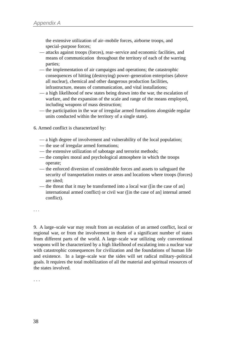the extensive utilization of air–mobile forces, airborne troops, and special–purpose forces;

- attacks against troops (forces), rear–service and economic facilities, and means of communication throughout the territory of each of the warring parties;
- the implementation of air campaigns and operations; the catastrophic consequences of hitting (destroying) power–generation enterprises (above all nuclear), chemical and other dangerous production facilities, infrastructure, means of communication, and vital installations;
- a high likelihood of new states being drawn into the war, the escalation of warfare, and the expansion of the scale and range of the means employed, including weapons of mass destruction;
- the participation in the war of irregular armed formations alongside regular units conducted within the territory of a single state).
- 6. Armed conflict is characterized by:
	- a high degree of involvement and vulnerability of the local population;
	- the use of irregular armed formations;
	- the extensive utilization of sabotage and terrorist methods;
	- the complex moral and psychological atmosphere in which the troops operate;
	- the enforced diversion of considerable forces and assets to safeguard the security of transportation routes or areas and locations where troops (forces) are sited;
	- the threat that it may be transformed into a local war ([in the case of an] international armed conflict) or civil war ([in the case of an] internal armed conflict).

. . .

9. A large–scale war may result from an escalation of an armed conflict, local or regional war, or from the involvement in them of a significant number of states from different parts of the world. A large–scale war utilizing only conventional weapons will be characterized by a high likelihood of escalating into a nuclear war with catastrophic consequences for civilization and the foundations of human life and existence. In a large–scale war the sides will set radical military–political goals. It requires the total mobilization of all the material and spiritual resources of the states involved.

. . .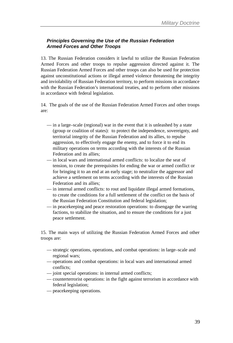#### *Principles Governing the Use of the Russian Federation Armed Forces and Other Troops*

13. The Russian Federation considers it lawful to utilize the Russian Federation Armed Forces and other troops to repulse aggression directed against it. The Russian Federation Armed Forces and other troops can also be used for protection against unconstitutional actions or illegal armed violence threatening the integrity and inviolability of Russian Federation territory, to perform missions in accordance with the Russian Federation's international treaties, and to perform other missions in accordance with federal legislation.

14. The goals of the use of the Russian Federation Armed Forces and other troops are:

- in a large–scale (regional) war in the event that it is unleashed by a state (group or coalition of states): to protect the independence, sovereignty, and territorial integrity of the Russian Federation and its allies, to repulse aggression, to effectively engage the enemy, and to force it to end its military operations on terms according with the interests of the Russian Federation and its allies;
- in local wars and international armed conflicts: to localize the seat of tension, to create the prerequisites for ending the war or armed conflict or for bringing it to an end at an early stage; to neutralize the aggressor and achieve a settlement on terms according with the interests of the Russian Federation and its allies;
- in internal armed conflicts: to rout and liquidate illegal armed formations, to create the conditions for a full settlement of the conflict on the basis of the Russian Federation Constitution and federal legislation;
- in peacekeeping and peace restoration operations: to disengage the warring factions, to stabilize the situation, and to ensure the conditions for a just peace settlement.

15. The main ways of utilizing the Russian Federation Armed Forces and other troops are:

- strategic operations, operations, and combat operations: in large–scale and regional wars;
- operations and combat operations: in local wars and international armed conflicts;
- joint special operations: in internal armed conflicts;
- counterterrorist operations: in the fight against terrorism in accordance with federal legislation;
- peacekeeping operations.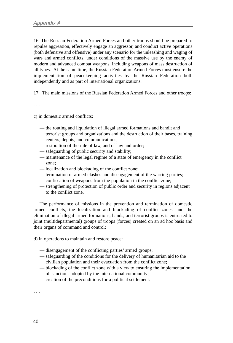16. The Russian Federation Armed Forces and other troops should be prepared to repulse aggression, effectively engage an aggressor, and conduct active operations (both defensive and offensive) under any scenario for the unleashing and waging of wars and armed conflicts, under conditions of the massive use by the enemy of modern and advanced combat weapons, including weapons of mass destruction of all types. At the same time, the Russian Federation Armed Forces must ensure the implementation of peacekeeping activities by the Russian Federation both independently and as part of international organizations.

17. The main missions of the Russian Federation Armed Forces and other troops:

. . .

- c) in domestic armed conflicts:
	- the routing and liquidation of illegal armed formations and bandit and terrorist groups and organizations and the destruction of their bases, training centers, depots, and communications;
	- restoration of the rule of law, and of law and order;
	- safeguarding of public security and stability;
	- maintenance of the legal regime of a state of emergency in the conflict zone;
	- localization and blockading of the conflict zone;
	- termination of armed clashes and disengagement of the warring parties;
	- confiscation of weapons from the population in the conflict zone;
	- strengthening of protection of public order and security in regions adjacent to the conflict zone.

The performance of missions in the prevention and termination of domestic armed conflicts, the localization and blockading of conflict zones, and the elimination of illegal armed formations, bands, and terrorist groups is entrusted to joint (multidepartmental) groups of troops (forces) created on an ad hoc basis and their organs of command and control;

d) in operations to maintain and restore peace:

- disengagement of the conflicting parties' armed groups;
- safeguarding of the conditions for the delivery of humanitarian aid to the civilian population and their evacuation from the conflict zone;
- blockading of the conflict zone with a view to ensuring the implementation of sanctions adopted by the international community;
- creation of the preconditions for a political settlement.

. . .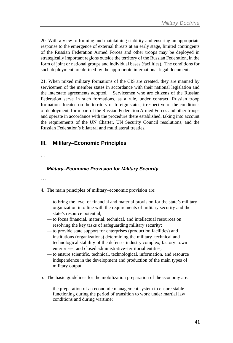20. With a view to forming and maintaining stability and ensuring an appropriate response to the emergence of external threats at an early stage, limited contingents of the Russian Federation Armed Forces and other troops may be deployed in strategically important regions outside the territory of the Russian Federation, in the form of joint or national groups and individual bases (facilities). The conditions for such deployment are defined by the appropriate international legal documents.

21. When mixed military formations of the CIS are created, they are manned by servicemen of the member states in accordance with their national legislation and the interstate agreements adopted. Servicemen who are citizens of the Russian Federation serve in such formations, as a rule, under contract. Russian troop formations located on the territory of foreign states, irrespective of the conditions of deployment, form part of the Russian Federation Armed Forces and other troops and operate in accordance with the procedure there established, taking into account the requirements of the UN Charter, UN Security Council resolutions, and the Russian Federation's bilateral and multilateral treaties.

### **III. Military–Economic Principles**

. . .

#### *Military–Economic Provision for Military Security*

. . .

- 4. The main principles of military–economic provision are:
	- to bring the level of financial and material provision for the state's military organization into line with the requirements of military security and the state's resource potential;
	- to focus financial, material, technical, and intellectual resources on resolving the key tasks of safeguarding military security;
	- to provide state support for enterprises (production facilities) and institutions (organizations) determining the military–technical and technological stability of the defense–industry complex, factory–town enterprises, and closed administrative–territorial entities;
	- to ensure scientific, technical, technological, information, and resource independence in the development and production of the main types of military output.
- 5. The basic guidelines for the mobilization preparation of the economy are:
	- the preparation of an economic management system to ensure stable functioning during the period of transition to work under martial law conditions and during wartime;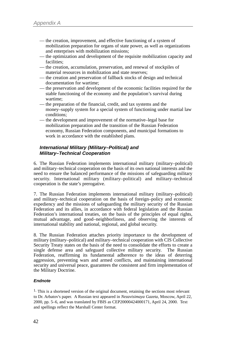- the creation, improvement, and effective functioning of a system of mobilization preparation for organs of state power, as well as organizations and enterprises with mobilization missions;
- the optimization and development of the requisite mobilization capacity and facilities;
- the creation, accumulation, preservation, and renewal of stockpiles of material resources in mobilization and state reserves;
- the creation and preservation of fallback stocks of design and technical documentation for wartime;
- the preservation and development of the economic facilities required for the stable functioning of the economy and the population's survival during wartime;
- the preparation of the financial, credit, and tax systems and the money–supply system for a special system of functioning under martial law conditions;
- the development and improvement of the normative–legal base for mobilization preparation and the transition of the Russian Federation economy, Russian Federation components, and municipal formations to work in accordance with the established plans.

#### *International Military (Military–Political) and Military–Technical Cooperation*

6. The Russian Federation implements international military (military–political) and military–technical cooperation on the basis of its own national interests and the need to ensure the balanced performance of the missions of safeguarding military security. International military (military–political) and military–technical cooperation is the state's prerogative.

7. The Russian Federation implements international military (military–political) and military–technical cooperation on the basis of foreign–policy and economic expediency and the missions of safeguarding the military security of the Russian Federation and its allies, in accordance with federal legislation and the Russian Federation's international treaties, on the basis of the principles of equal rights, mutual advantage, and good–neighborliness, and observing the interests of international stability and national, regional, and global security.

8. The Russian Federation attaches priority importance to the development of military (military–political) and military–technical cooperation with CIS Collective Security Treaty states on the basis of the need to consolidate the efforts to create a single defense area and safeguard collective military security. The Russian Federation, reaffirming its fundamental adherence to the ideas of deterring aggression, preventing wars and armed conflicts, and maintaining international security and universal peace, guarantees the consistent and firm implementation of the Military Doctrine.

#### *Endnote*

 $<sup>1</sup>$ . This is a shortened version of the original document, retaining the sections most relevant</sup> to Dr. Arbatov's paper. A Russian text appeared in *Nezavisimaya Gazeta*, Moscow, April 22, 2000, pp. 5–6, and was translated by FBIS as CEP20000424000171, April 24, 2000. Text and spellings reflect the Marshall Center format.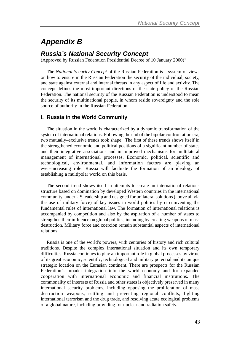# *Appendix B*

# *Russia's National Security Concept*

(Approved by Russian Federation Presidential Decree of 10 January 2000)1

The *National Security Concept* of the Russian Federation is a system of views on how to ensure in the Russian Federation the security of the individual, society, and state against external and internal threats in any aspect of life and activity. The concept defines the most important directions of the state policy of the Russian Federation. The national security of the Russian Federation is understood to mean the security of its multinational people, in whom reside sovereignty and the sole source of authority in the Russian Federation.

#### **I. Russia in the World Community**

The situation in the world is characterized by a dynamic transformation of the system of international relations. Following the end of the bipolar confrontation era, two mutually–exclusive trends took shape. The first of these trends shows itself in the strengthened economic and political positions of a significant number of states and their integrative associations and in improved mechanisms for multilateral management of international processes. Economic, political, scientific and technological, environmental, and information factors are playing an ever–increasing role. Russia will facilitate the formation of an ideology of establishing a multipolar world on this basis.

The second trend shows itself in attempts to create an international relations structure based on domination by developed Western countries in the international community, under US leadership and designed for unilateral solutions (above all via the use of military force) of key issues in world politics by circumventing the fundamental rules of international law. The formation of international relations is accompanied by competition and also by the aspiration of a number of states to strengthen their influence on global politics, including by creating weapons of mass destruction. Military force and coercion remain substantial aspects of international relations.

Russia is one of the world's powers, with centuries of history and rich cultural traditions. Despite the complex international situation and its own temporary difficulties, Russia continues to play an important role in global processes by virtue of its great economic, scientific, technological and military potential and its unique strategic location on the Eurasian continent. There are prospects for the Russian Federation's broader integration into the world economy and for expanded cooperation with international economic and financial institutions. The commonality of interests of Russia and other states is objectively preserved in many international security problems, including opposing the proliferation of mass destruction weapons, settling and preventing regional conflicts, fighting international terrorism and the drug trade, and resolving acute ecological problems of a global nature, including providing for nuclear and radiation safety.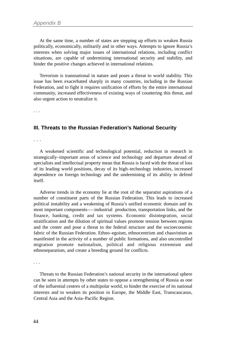At the same time, a number of states are stepping up efforts to weaken Russia politically, economically, militarily and in other ways. Attempts to ignore Russia's interests when solving major issues of international relations, including conflict situations, are capable of undermining international security and stability, and hinder the positive changes achieved in international relations.

Terrorism is transnational in nature and poses a threat to world stability. This issue has been exacerbated sharply in many countries, including in the Russian Federation, and to fight it requires unification of efforts by the entire international community, increased effectiveness of existing ways of countering this threat, and also urgent action to neutralize it.

. . .

#### **III. Threats to the Russian Federation's National Security**

*. . .*

A weakened scientific and technological potential, reduction in research in strategically–important areas of science and technology and departure abroad of specialists and intellectual property mean that Russia is faced with the threat of loss of its leading world positions, decay of its high–technology industries, increased dependence on foreign technology and the undermining of its ability to defend itself.

Adverse trends in the economy lie at the root of the separatist aspirations of a number of constituent parts of the Russian Federation. This leads to increased political instability and a weakening of Russia's unified economic domain and its most important components—industrial production, transportation links, and the finance, banking, credit and tax systems. Economic disintegration, social stratification and the dilution of spiritual values promote tension between regions and the center and pose a threat to the federal structure and the socioeconomic fabric of the Russian Federation. Ethno–egoism, ethnocentrism and chauvinism as manifested in the activity of a number of public formations, and also uncontrolled migration promote nationalism, political and religious extremism and ethnoseparatism, and create a breeding ground for conflicts.

. . .

Threats to the Russian Federation's national security in the international sphere can be seen in attempts by other states to oppose a strengthening of Russia as one of the influential centres of a multipolar world, to hinder the exercise of its national interests and to weaken its position in Europe, the Middle East, Transcaucasus, Central Asia and the Asia–Pacific Region.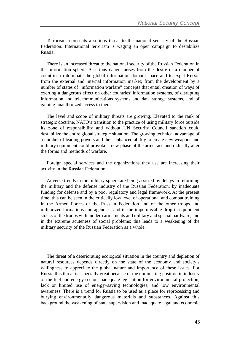Terrorism represents a serious threat to the national security of the Russian Federation. International terrorism is waging an open campaign to destabilize Russia.

There is an increased threat to the national security of the Russian Federation in the information sphere. A serious danger arises from the desire of a number of countries to dominate the global information domain space and to expel Russia from the external and internal information market; from the development by a number of states of "information warfare" concepts that entail creation of ways of exerting a dangerous effect on other countries' information systems, of disrupting information and telecommunications systems and data storage systems, and of gaining unauthorized access to them.

The level and scope of military threats are growing. Elevated to the rank of strategic doctrine, NATO's transition to the practice of using military force outside its zone of responsibility and without UN Security Council sanction could destabilize the entire global strategic situation. The growing technical advantage of a number of leading powers and their enhanced ability to create new weapons and military equipment could provoke a new phase of the arms race and radically alter the forms and methods of warfare.

Foreign special services and the organizations they use are increasing their activity in the Russian Federation.

Adverse trends in the military sphere are being assisted by delays in reforming the military and the defense industry of the Russian Federation, by inadequate funding for defense and by a poor regulatory and legal framework. At the present time, this can be seen in the critically low level of operational and combat training in the Armed Forces of the Russian Federation and of the other troops and militarized formations and agencies, and in the impermissible drop in equipment stocks of the troops with modern armaments and military and special hardware, and in the extreme acuteness of social problems; this leads to a weakening of the military security of the Russian Federation as a whole.

. . .

The threat of a deteriorating ecological situation in the country and depletion of natural resources depends directly on the state of the economy and society's willingness to appreciate the global nature and importance of these issues. For Russia this threat is especially great because of the dominating position in industry of the fuel and energy sector, inadequate legislation for environmental protection, lack or limited use of energy–saving technologies, and low environmental awareness. There is a trend for Russia to be used as a place for reprocessing and burying environmentally dangerous materials and substances. Against this background the weakening of state supervision and inadequate legal and economic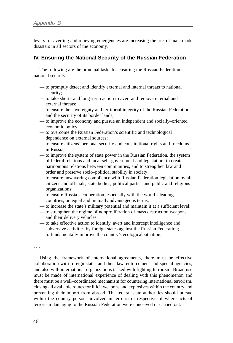levers for averting and relieving emergencies are increasing the risk of man–made disasters in all sectors of the economy.

#### **IV. Ensuring the National Security of the Russian Federation**

The following are the principal tasks for ensuring the Russian Federation's national security:

- to promptly detect and identify external and internal threats to national security;
- to take short– and long–term action to avert and remove internal and external threats;
- to ensure the sovereignty and territorial integrity of the Russian Federation and the security of its border lands;
- to improve the economy and pursue an independent and socially–oriented economic policy;
- to overcome the Russian Federation's scientific and technological dependence on external sources;
- to ensure citizens' personal security and constitutional rights and freedoms in Russia;
- to improve the system of state power in the Russian Federation, the system of federal relations and local self–government and legislation; to create harmonious relations between communities, and to strengthen law and order and preserve socio–political stability in society;
- to ensure unwavering compliance with Russian Federation legislation by all citizens and officials, state bodies, political parties and public and religious organizations;
- to ensure Russia's cooperation, especially with the world's leading countries, on equal and mutually advantageous terms;
- to increase the state's military potential and maintain it at a sufficient level;
- to strengthen the regime of nonproliferation of mass destruction weapons and their delivery vehicles;
- to take effective action to identify, avert and intercept intelligence and subversive activities by foreign states against the Russian Federation;
- to fundamentally improve the country's ecological situation.

. . .

Using the framework of international agreements, there must be effective collaboration with foreign states and their law–enforcement and special agencies, and also with international organizations tasked with fighting terrorism. Broad use must be made of international experience of dealing with this phenomenon and there must be a well–coordinated mechanism for countering international terrorism, closing all available routes for illicit weapons and explosives within the country and preventing their import from abroad. The federal state authorities should pursue within the country persons involved in terrorism irrespective of where acts of terrorism damaging to the Russian Federation were conceived or carried out.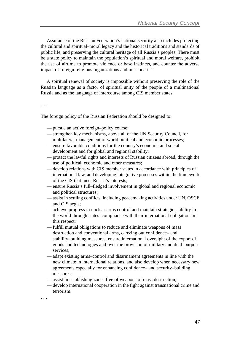Assurance of the Russian Federation's national security also includes protecting the cultural and spiritual–moral legacy and the historical traditions and standards of public life, and preserving the cultural heritage of all Russia's peoples. There must be a state policy to maintain the population's spiritual and moral welfare, prohibit the use of airtime to promote violence or base instincts, and counter the adverse impact of foreign religious organizations and missionaries.

A spiritual renewal of society is impossible without preserving the role of the Russian language as a factor of spiritual unity of the people of a multinational Russia and as the language of intercourse among CIS member states.

. . .

The foreign policy of the Russian Federation should be designed to:

- pursue an active foreign–policy course;
- strengthen key mechanisms, above all of the UN Security Council, for multilateral management of world political and economic processes;
- ensure favorable conditions for the country's economic and social development and for global and regional stability;
- protect the lawful rights and interests of Russian citizens abroad, through the use of political, economic and other measures;
- develop relations with CIS member states in accordance with principles of international law, and developing integrative processes within the framework of the CIS that meet Russia's interests;
- ensure Russia's full–fledged involvement in global and regional economic and political structures;
- assist in settling conflicts, including peacemaking activities under UN, OSCE and CIS aegis;
- achieve progress in nuclear arms control and maintain strategic stability in the world through states' compliance with their international obligations in this respect;
- fulfill mutual obligations to reduce and eliminate weapons of mass destruction and conventional arms, carrying out confidence– and stability–building measures, ensure international oversight of the export of goods and technologies and over the provision of military and dual–purpose services;
- adapt existing arms–control and disarmament agreements in line with the new climate in international relations, and also develop when necessary new agreements especially for enhancing confidence– and security–building measures;
- assist in establishing zones free of weapons of mass destruction;
- develop international cooperation in the fight against transnational crime and terrorism.

. . .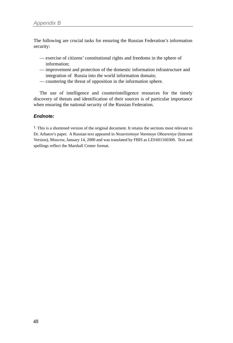The following are crucial tasks for ensuring the Russian Federation's information security:

- exercise of citizens' constitutional rights and freedoms in the sphere of information;
- improvement and protection of the domestic information infrastructure and integration of Russia into the world information domain;
- countering the threat of opposition in the information sphere.

The use of intelligence and counterintelligence resources for the timely discovery of threats and identification of their sources is of particular importance when ensuring the national security of the Russian Federation.

#### *Endnote:*

<sup>1.</sup> This is a shortened version of the original document. It retains the sections most relevant to Dr. Arbatov's paper. A Russian text appeared in *Nezavisimoye Voennoye Obozreniye* (Internet Version), Moscow, January 14, 2000 and was translated by FBIS as LD1601160300. Text and spellings reflect the Marshall Center format.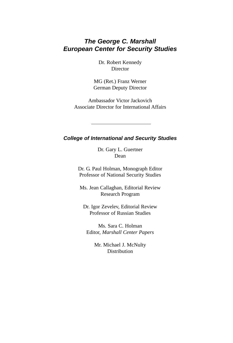# *The George C. Marshall European Center for Security Studies*

Dr. Robert Kennedy **Director** 

MG (Ret.) Franz Werner German Deputy Director

Ambassador Victor Jackovich Associate Director for International Affairs

### *College of International and Security Studies*

Dr. Gary L. Guertner Dean

Dr. G. Paul Holman, Monograph Editor Professor of National Security Studies

Ms. Jean Callaghan, Editorial Review Research Program

Dr. Igor Zevelev, Editorial Review Professor of Russian Studies

Ms. Sara C. Holman Editor, *Marshall Center Papers*

> Mr. Michael J. McNulty **Distribution**